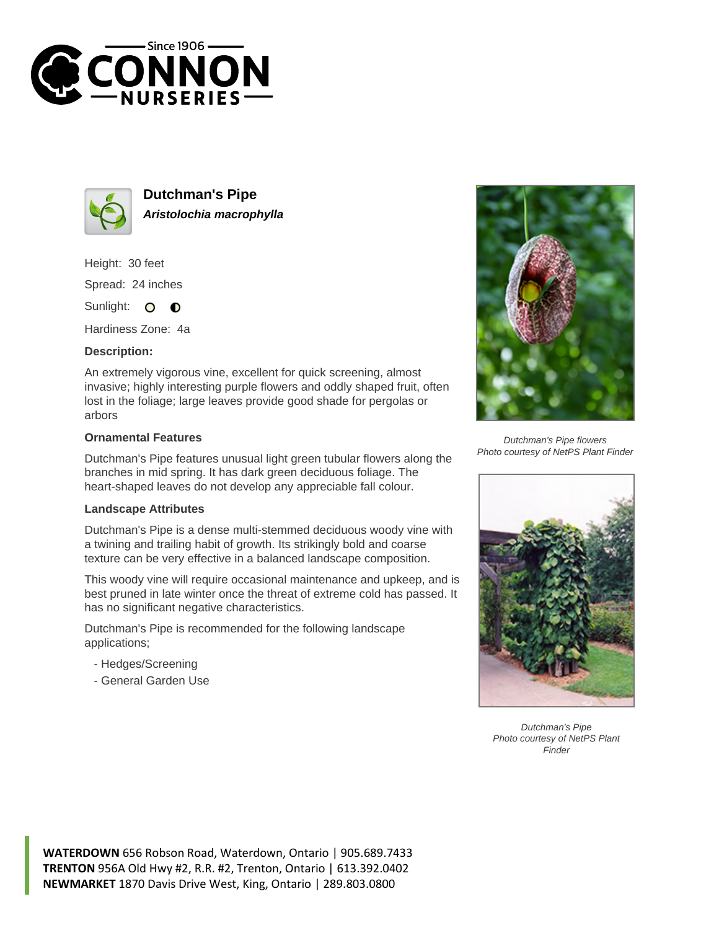



**Dutchman's Pipe Aristolochia macrophylla**

Height: 30 feet Spread: 24 inches

Sunlight: O  $\bullet$ 

Hardiness Zone: 4a

## **Description:**

An extremely vigorous vine, excellent for quick screening, almost invasive; highly interesting purple flowers and oddly shaped fruit, often lost in the foliage; large leaves provide good shade for pergolas or arbors

## **Ornamental Features**

Dutchman's Pipe features unusual light green tubular flowers along the branches in mid spring. It has dark green deciduous foliage. The heart-shaped leaves do not develop any appreciable fall colour.

## **Landscape Attributes**

Dutchman's Pipe is a dense multi-stemmed deciduous woody vine with a twining and trailing habit of growth. Its strikingly bold and coarse texture can be very effective in a balanced landscape composition.

This woody vine will require occasional maintenance and upkeep, and is best pruned in late winter once the threat of extreme cold has passed. It has no significant negative characteristics.

Dutchman's Pipe is recommended for the following landscape applications;

- Hedges/Screening
- General Garden Use



Dutchman's Pipe flowers Photo courtesy of NetPS Plant Finder



Dutchman's Pipe Photo courtesy of NetPS Plant Finder

**WATERDOWN** 656 Robson Road, Waterdown, Ontario | 905.689.7433 **TRENTON** 956A Old Hwy #2, R.R. #2, Trenton, Ontario | 613.392.0402 **NEWMARKET** 1870 Davis Drive West, King, Ontario | 289.803.0800